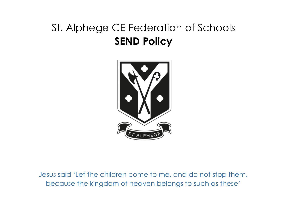# St. Alphege CE Federation of Schools **SEND Policy**



Jesus said 'Let the children come to me, and do not stop them, because the kingdom of heaven belongs to such as these'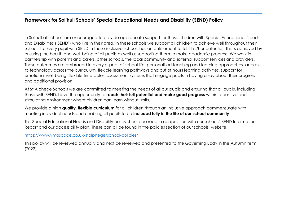# **Framework for Solihull Schools' Special Educational Needs and Disability (SEND) Policy**

In Solihull all schools are encouraged to provide appropriate support for those children with Special Educational Needs and Disabilities ('SEND') who live in their area. In these schools we support all children to achieve well throughout their school life. Every pupil with SEND in these inclusive schools has an entitlement to fulfil his/her potential. This is achieved by ensuring the health and well-being of all pupils as well as supporting them to make academic progress. We work in partnership with parents and carers, other schools, the local community and external support services and providers. These outcomes are embraced in every aspect of school life: personalised teaching and learning approaches, access to technology across the curriculum, flexible learning pathways and out of hours learning activities, support for emotional well-being, flexible timetables, assessment systems that engage pupils in having a say about their progress and additional provision.

At St Alphege Schools we are committed to meeting the needs of all our pupils and ensuring that all pupils, including those with SEND, have the opportunity to **reach their full potential and make good progress** within a positive and stimulating environment where children can learn without limits.

We provide a high **quality, flexible curriculum** for all children through an inclusive approach commensurate with meeting individual needs and enabling all pupils to be **included fully in the life of our school community**.

This Special Educational Needs and Disability policy should be read in conjunction with our schools' SEND Information Report and our accessibility plan. These can all be found in the policies section of our schools' website.

## <https://www.vmaspace.co.uk/stalphege/school-policies/>

This policy will be reviewed annually and next be reviewed and presented to the Governing Body in the Autumn term (2022).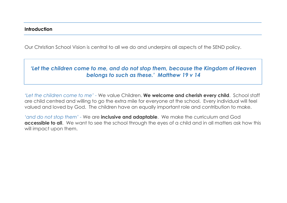# **Introduction**

Our Christian School Vision is central to all we do and underpins all aspects of the SEND policy.

# *'Let the children come to me, and do not stop them, because the Kingdom of Heaven belongs to such as these.' Matthew 19 v 14*

*'Let the children come to me' -* We value Children. **We welcome and cherish every child**. School staff are child centred and willing to go the extra mile for everyone at the school. Every individual will feel valued and loved by God. The children have an equally important role and contribution to make.

*'and do not stop them' -* We are **inclusive and adaptable**. We make the curriculum and God **accessible to all**. We want to see the school through the eyes of a child and in all matters ask how this will impact upon them.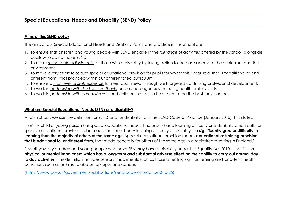# **Special Educational Needs and Disability (SEND) Policy**

# **Aims of this SEND policy**

The aims of our Special Educational Needs and Disability Policy and practice in this school are:

- 1. To ensure that children and young people with SEND engage in the *full range of activities* offered by the school, alongside pupils who do not have SEND.
- 2. To make *reasonable adjustments* for those with a disability by taking action to increase access to the curriculum and the environment.
- 3. To make every effort to secure special educational provision for pupils for whom this is required, that is "additional to and different from" that provided within our differentiated curriculum.
- 4. To ensure a *high level of staff expertise* to meet pupil need, through well-targeted continuing professional development.
- 5. To work in *partnership with the Local Authority* and outside agencies including health professionals.
- 6. To work in *partnership with parents/carers* and children in order to help them to be the best they can be.

# **What are Special Educational Needs (SEN) or a disability?**

At our schools we use the definition for SEND and for disability from the SEND Code of Practice (January 2015). This states:

"SEN: A child or young person has special educational needs if he or she has a learning difficulty or a disability which calls for special educational provision to be made for him or her. A learning difficulty or disability is a **significantly greater difficulty in learning than the majority of others of the same age.** Special educational provision means **educational or training provision that is additional to, or different from**, that made generally for others of the same age in a mainstream setting in England."

Disability: Many children and young people who have SEN may have a disability under the Equality Act 2010 – that is **'…a physical or mental impairment which has a long-term and substantial adverse effect on their ability to carry out normal day to day activities.'** This definition includes sensory impairments such as those affecting sight or hearing and long-term health conditions such as asthma, diabetes, epilepsy and cancer.

[\(https://www.gov.uk/government/publications/send-code-of-practice-0-to-25\)](https://www.gov.uk/government/publications/send-code-of-practice-0-to-25)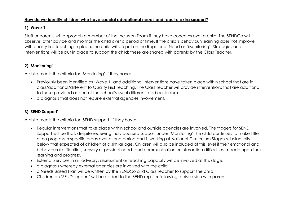# **How do we identify children who have special educational needs and require extra support?**

# **1) 'Wave 1'**

Staff or parents will approach a member of the Inclusion Team if they have concerns over a child. The SENDCo will observe, offer advice and monitor the child over a period of time. If the child's behaviour/learning does not improve with quality first teaching in place, the child will be put on the Register of Need as 'Monitoring'. Strategies and Interventions will be put in place to support the child; these are shared with parents by the Class Teacher.

# **2) 'Monitoring'**

A child meets the criteria for 'Monitoring' if they have:

- Previously been identified as 'Wave 1' and additional interventions have taken place within school that are in class/additional/different to Quality First Teaching. The Class Teacher will provide interventions that are additional to those provided as part of the school's usual differentiated curriculum.
- a diagnosis that does not require external agencies involvement.

# **3) 'SEND Support'**

A child meets the criteria for 'SEND support' if they have:

- Regular interventions that take place within school and outside agencies are involved. The triggers for SEND Support will be that, despite receiving individualised support under 'Monitoring' the child continues to make little or no progress in specific areas over a long period and is working at National Curriculum Stages substantially below that expected of children of a similar age. Children will also be included at this level if their emotional and behavioural difficulties, sensory or physical needs and communication or interaction difficulties impede upon their learning and progress.
- External Services in an advisory, assessment or teaching capacity will be involved at this stage.
- a diagnosis whereby external agencies are involved with the child
- a Needs Based Plan will be written by the SENDCo and Class Teacher to support the child.
- Children on 'SEND support' will be added to the SEND register following a discussion with parents.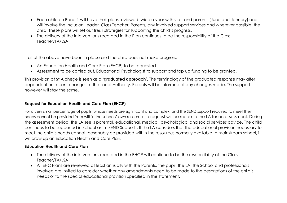- Each child on Band 1 will have their plans reviewed twice a year with staff and parents (June and January) and will involve the Inclusion Leader, Class Teacher, Parents, any involved support services and wherever possible, the child. These plans will set out fresh strategies for supporting the child's progress.
- The delivery of the interventions recorded in the Plan continues to be the responsibility of the Class Teacher/TA/LSA.

If all of the above have been in place and the child does not make progress:

- An Education Health and Care Plan (EHCP) to be requested
- Assessment to be carried out, Educational Psychologist to support and top up funding to be granted.

This provision at St Alphege is seen as a **'graduated approach'**. The terminology of the graduated response may alter dependent on recent changes to the Local Authority. Parents will be informed of any changes made. The support however will stay the same.

# **Request for Education Health and Care Plan (EHCP)**

For a very small percentage of pupils, whose needs are significant and complex, and the SEND support required to meet their needs cannot be provided from within the schools' own resources, a request will be made to the LA for an assessment. During the assessment period, the LA seeks parental, educational, medical, psychological and social services advice. The child continues to be supported in School as in 'SEND Support'. If the LA considers that the educational provision necessary to meet the child's needs cannot reasonably be provided within the resources normally available to mainstream school, it will draw up an Education Health and Care Plan.

## **Education Health and Care Plan**

- The delivery of the interventions recorded in the EHCP will continue to be the responsibility of the Class Teacher/TA/LSA.
- All EHC Plans are reviewed at least annually with the Parents, the pupil, the LA, the School and professionals involved are invited to consider whether any amendments need to be made to the descriptions of the child's needs or to the special educational provision specified in the statement.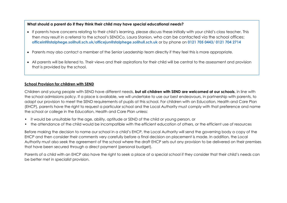#### **What should a parent do if they think their child may have special educational needs?**

- If parents have concerns relating to their child's learning, please discuss these initially with your child's class teacher. This then may result in a referral to the school's SENDCo, Laura Stanion, who can be contacted via the school offices: **officeinf@stalphege.solihull.sch.uk/officejun@stalphege.solihull.sch.uk** or by phone on **0121 705 0443/ 0121 704 2714**
- Parents may also contact a member of the Senior Leadership team directly if they feel this is more appropriate.
- All parents will be listened to. Their views and their aspirations for their child will be central to the assessment and provision that is provided by the school.

# **School Provision for children with SEND**

Children and young people with SEND have different needs, **but all children with SEND are welcomed at our schools**, in line with the school admissions policy. If a place is available, we will undertake to use our best endeavours, in partnership with parents, to adapt our provision to meet the SEND requirements of pupils at this school. For children with an Education, Health and Care Plan (EHCP), parents have the right to request a particular school and the Local Authority must comply with that preference and name the school or college in the Education, Health and Care Plan unless:

- it would be unsuitable for the age, ability, aptitude or SEND of the child or young person, or
- the attendance of the child would be incompatible with the efficient education of others, or the efficient use of resources

Before making the decision to name our school in a child's EHCP, the Local Authority will send the governing body a copy of the EHCP and then consider their comments very carefully before a final decision on placement is made. In addition, the Local Authority must also seek the agreement of the school where the draft EHCP sets out any provision to be delivered on their premises that have been secured through a direct payment (personal budget).

Parents of a child with an EHCP also have the right to seek a place at a special school if they consider that their child's needs can be better met in specialist provision.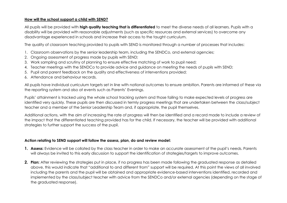#### **How will the school support a child with SEND?**

All pupils will be provided with **high quality teaching that is differentiated** to meet the diverse needs of all learners. Pupils with a disability will be provided with reasonable adjustments (such as specific resources and external services) to overcome any disadvantage experienced in schools and increase their access to the taught curriculum.

The quality of classroom teaching provided to pupils with SEND is monitored through a number of processes that includes:

- 1. Classroom observations by the senior leadership team, including the SENDCo, and external agencies;
- 2. Ongoing assessment of progress made by pupils with SEND;
- 3. Work sampling and scrutiny of planning to ensure effective matching of work to pupil need;
- 4. Teacher meetings with the SENDCo to provide advice and guidance on meeting the needs of pupils with SEND;
- 5. Pupil and parent feedback on the quality and effectiveness of interventions provided;
- 6. Attendance and behaviour records.

All pupils have individual curriculum targets set in line with national outcomes to ensure ambition. Parents are informed of these via the reporting system and also at events such as Parents' Evenings.

Pupils' attainment is tracked using the whole school tracking system and those failing to make expected levels of progress are identified very quickly. These pupils are then discussed in termly progress meetings that are undertaken between the class/subject teacher and a member of the Senior Leadership Team and, if appropriate, the pupil themselves.

Additional actions, with the aim of increasing the rate of progress will then be identified and a record made to include a review of the impact that the differentiated teaching provided has for the child. If necessary, the teacher will be provided with additional strategies to further support the success of the pupil.

#### **Action relating to SEND support will follow the assess, plan, do and review model:**

- **1. Assess:** Evidence will be collated by the class teacher in order to make an accurate assessment of the pupil's needs. Parents will always be invited to this early discussion to support the identification of strategies/targets to improve outcomes.
- **2. Plan:** After reviewing the strategies put in place, if no progress has been made following the graduated response as detailed above, this would indicate that "additional to and different from" support will be required. At this point the views of all involved including the parents and the pupil will be obtained and appropriate evidence-based interventions identified, recorded and implemented by the class/subject teacher with advice from the SENDCo and/or external agencies (depending on the stage of the graduated response).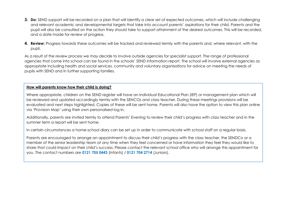- **3. Do:** SEND support will be recorded on a plan that will identify a clear set of expected outcomes, which will include challenging and relevant academic and developmental targets that take into account parents' aspirations for their child. Parents and the pupil will also be consulted on the action they should take to support attainment of the desired outcomes. This will be recorded, and a date made for review of progress.
- **4. Review:** Progress towards these outcomes will be tracked and reviewed termly with the parents and, where relevant, with the pupil.

As a result of the review process we may decide to involve outside agencies for specialist support. The range of professional agencies that come into school can be found in the schools' SEND information report. The school will involve external agencies as appropriate including health and social services, community and voluntary organisations for advice on meeting the needs of pupils with SEND and in further supporting families.

#### **How will parents know how their child is doing?**

Where appropriate, children on the SEND register will have an Individual Educational Plan (IEP) or management plan which will be reviewed and updated accordingly termly with the SENCOs and class teacher. During these meetings provisions will be evaluated and next steps highlighted. Copies of these will be sent home. Parents will also have the option to view this plan online via 'Provision Map' using their own personalised log in.

Additionally, parents are invited termly to attend Parents' Evening to review their child's progress with class teacher and in the summer term a report will be sent home.

In certain circumstances a home-school diary can be set up in order to communicate with school staff on a regular basis.

Parents are encouraged to arrange an appointment to discuss their child's progress with the class teacher, the SENDCo or a member of the senior leadership team at any time when they feel concerned or have information they feel they would like to share that could impact on their child's success. Please contact the relevant school office who will arrange this appointment for you. The contact numbers are **0121 705 0443** (Infants) / **0121 704 2714** (Juniors).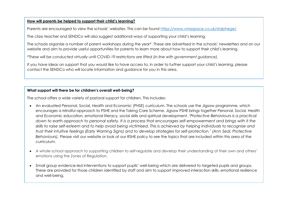#### **How will parents be helped to support their child's learning?**

Parents are encouraged to view the schools' websites. This can be found <https://www.vmaspace.co.uk/stalphege/>

The class teacher and SENDCo will also suggest additional ways of supporting your child's learning.

The schools organise a number of parent workshops during the year\*. These are advertised in the schools' newsletters and on our website and aim to provide useful opportunities for parents to learn more about how to support their child's learning.

\**These will be conducted virtually until COVID-19 restrictions are lifted (in line with government guidance).* 

If you have ideas on support that you would like to have access to, in order to further support your child's learning, please contact the SENDCo who will locate information and guidance for you in this area.

#### **What support will there be for children's overall well-being?**

The school offers a wide variety of pastoral support for children. This includes:

- An evaluated Personal, Social, Health and Economic (PHSE) curriculum. The schools use the Jigsaw programme, which encourages a Mindful approach to PSHE and the Taking Care Scheme. Jigsaw PSHE brings together Personal, Social, Health and Economic education, emotional literacy, social skills and spiritual development. '*Protective Behaviours is a practical* down to earth approach to personal safety. It is a process that encourages self-empowerment and brings with it the skills to raise self-esteem and to help avoid being victimised. This is achieved by helping individuals to recoanise and trust their intuitive feelings (Early Warning Sians) and to develop strategies for self-protection.' (Ann Seal, Protective *Behaviours).* Please visit our website or look at our RSHE policy to see the topics that are included within this area of the curriculum.
- A whole school approach to supporting children to self-regulate and develop their understanding of their own and others' emotions using the Zones of Regulation.
- Small group evidence-led interventions to support pupils' well-being which are delivered to targeted pupils and groups. These are provided for those children identified by staff and aim to support improved interaction skills, emotional resilience and well-being.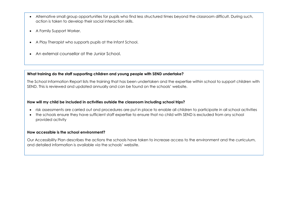- Alternative small group opportunities for pupils who find less structured times beyond the classroom difficult. During such, action is taken to develop their social interaction skills.
- A Family Support Worker.
- A Play Therapist who supports pupils at the Infant School.
- An external counsellor at the Junior School.

#### **What training do the staff supporting children and young people with SEND undertake?**

The School Information Report lists the training that has been undertaken and the expertise within school to support children with SEND. This is reviewed and updated annually and can be found on the schools' website.

#### **How will my child be included in activities outside the classroom including school trips?**

- risk assessments are carried out and procedures are put in place to enable all children to participate in all school activities
- the schools ensure they have sufficient staff expertise to ensure that no child with SEND is excluded from any school provided activity

#### **How accessible is the school environment?**

Our Accessibility Plan describes the actions the schools have taken to increase access to the environment and the curriculum, and detailed information is available via the schools' website.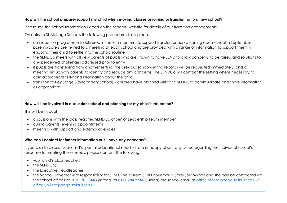#### **How will the school prepare/support my child when moving classes or joining or transferring to a new school?**

Please see the School Information Report on the schools' website for details of our transition arrangements.

On entry to St Alphege Schools the following procedures take place:

- an induction programme is delivered in the Summer term to support transfer for pupils starting each school in September parents/carers are invited to a meeting at each school and are provided with a range of information to support them in enabling their child to settle into the school routine
- the SENDCo meets with all new parents of pupils who are known to have SEND to allow concerns to be raised and solutions to any perceived challenges addressed prior to entry
- if pupils are transferring from another setting, the previous school/setting records will be requested immediately, and a meeting set up with parents to identify and reduce any concerns. The SENDCo will contact the setting where necessary to gain appropriate first-hand information about the child
- transition to Key Stage 3 (Secondary School) children have planned visits and SENDCos communicate and share information as appropriate.

### **How will I be involved in discussions about and planning for my child's education?**

This will be through:

- discussions with the class teacher, SENDCo or Senior Leadership Team member
- during parents' evening appointments
- meetings with support and external agencies

### **Who can I contact for further information or if I have any concerns?**

If you wish to discuss your child's special educational needs or are unhappy about any issues regarding the individual school's response to meeting these needs, please contact the following:

- your child's class teacher;
- the SENDCo;
- the Executive Headteacher
- the School Governor with responsibility for SEND. The current SEND governor is Carol Southworth and she can be contacted via the school offices on **0121 705 0443** (Infants) or **0121 704 2714** (Juniors) the school email at [officeinf@stalphege.solihull.sch.uk/](mailto:officeinf@stalphege.solihull.sch.uk/) [officejun@stalphege.solihull.sch.uk](mailto:officejun@stalphege.solihull.sch.uk)